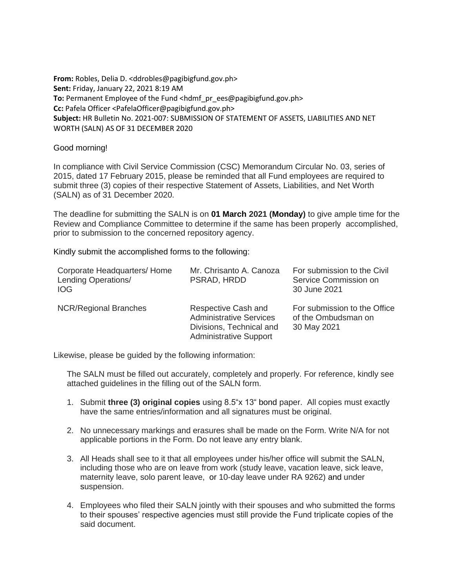**From:** Robles, Delia D. <ddrobles@pagibigfund.gov.ph> **Sent:** Friday, January 22, 2021 8:19 AM **To:** Permanent Employee of the Fund <hdmf\_pr\_ees@pagibigfund.gov.ph> **Cc:** Pafela Officer <PafelaOfficer@pagibigfund.gov.ph> **Subject:** HR Bulletin No. 2021-007: SUBMISSION OF STATEMENT OF ASSETS, LIABILITIES AND NET WORTH (SALN) AS OF 31 DECEMBER 2020

## Good morning!

In compliance with Civil Service Commission (CSC) Memorandum Circular No. 03, series of 2015, dated 17 February 2015, please be reminded that all Fund employees are required to submit three (3) copies of their respective Statement of Assets, Liabilities, and Net Worth (SALN) as of 31 December 2020.

The deadline for submitting the SALN is on **01 March 2021 (Monday)** to give ample time for the Review and Compliance Committee to determine if the same has been properly accomplished, prior to submission to the concerned repository agency.

Kindly submit the accomplished forms to the following:

| Corporate Headquarters/ Home<br>Lending Operations/<br>IOG. | Mr. Chrisanto A. Canoza<br>PSRAD, HRDD                                                                             | For submission to the Civil<br>Service Commission on<br>30 June 2021 |
|-------------------------------------------------------------|--------------------------------------------------------------------------------------------------------------------|----------------------------------------------------------------------|
| <b>NCR/Regional Branches</b>                                | Respective Cash and<br><b>Administrative Services</b><br>Divisions, Technical and<br><b>Administrative Support</b> | For submission to the Office<br>of the Ombudsman on<br>30 May 2021   |

Likewise, please be guided by the following information:

The SALN must be filled out accurately, completely and properly. For reference, kindly see attached guidelines in the filling out of the SALN form.

- 1. Submit **three (3) original copies** using 8.5"x 13" bond paper. All copies must exactly have the same entries/information and all signatures must be original.
- 2. No unnecessary markings and erasures shall be made on the Form. Write N/A for not applicable portions in the Form. Do not leave any entry blank.
- 3. All Heads shall see to it that all employees under his/her office will submit the SALN, including those who are on leave from work (study leave, vacation leave, sick leave, maternity leave, solo parent leave, or 10-day leave under RA 9262) and under suspension.
- 4. Employees who filed their SALN jointly with their spouses and who submitted the forms to their spouses' respective agencies must still provide the Fund triplicate copies of the said document.